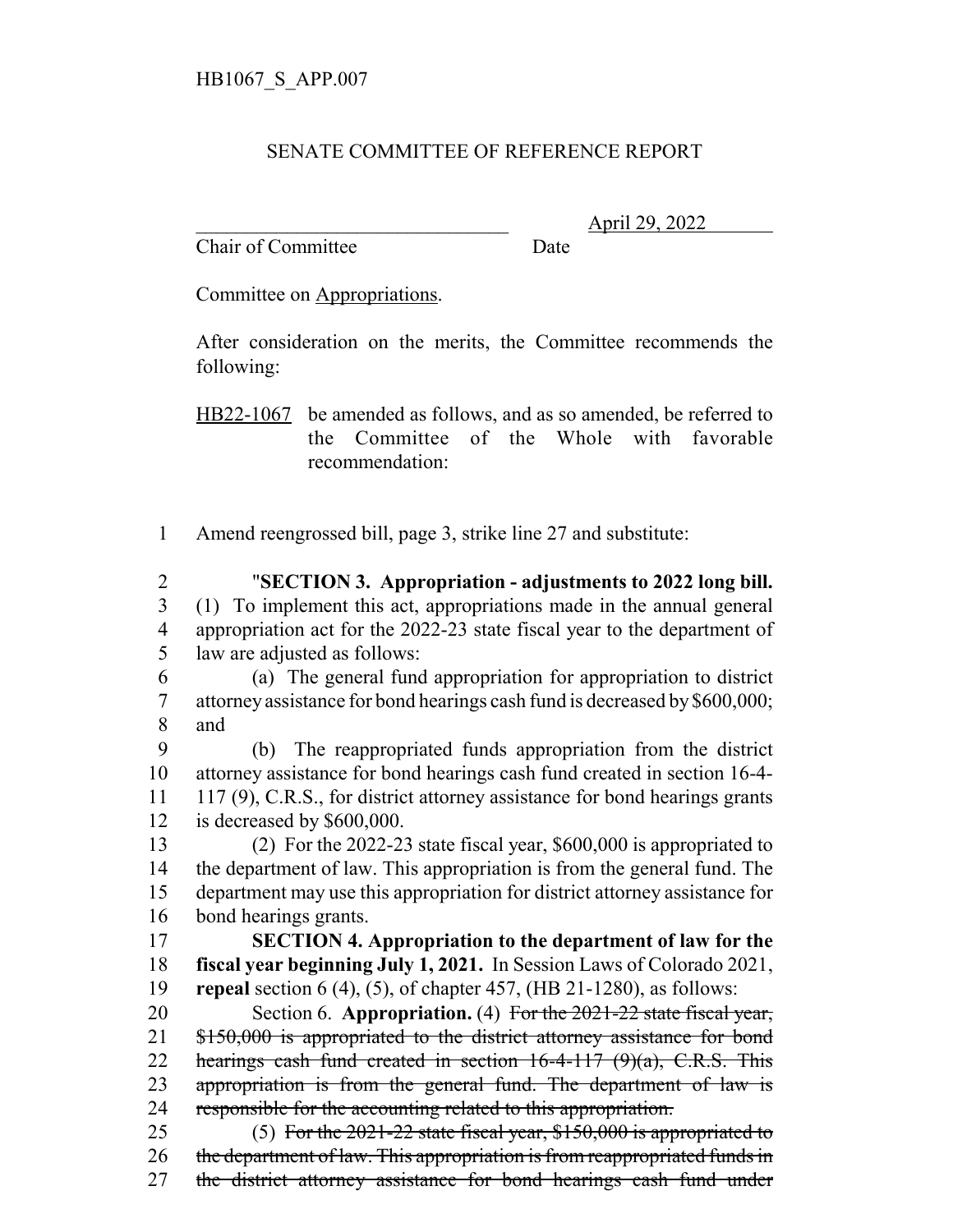## SENATE COMMITTEE OF REFERENCE REPORT

Chair of Committee Date

\_\_\_\_\_\_\_\_\_\_\_\_\_\_\_\_\_\_\_\_\_\_\_\_\_\_\_\_\_\_\_ April 29, 2022

Committee on Appropriations.

After consideration on the merits, the Committee recommends the following:

HB22-1067 be amended as follows, and as so amended, be referred to the Committee of the Whole with favorable recommendation:

1 Amend reengrossed bill, page 3, strike line 27 and substitute:

 "**SECTION 3. Appropriation - adjustments to 2022 long bill.** (1) To implement this act, appropriations made in the annual general appropriation act for the 2022-23 state fiscal year to the department of law are adjusted as follows:

6 (a) The general fund appropriation for appropriation to district 7 attorney assistance for bond hearings cash fund is decreased by \$600,000; 8 and

 (b) The reappropriated funds appropriation from the district attorney assistance for bond hearings cash fund created in section 16-4- 117 (9), C.R.S., for district attorney assistance for bond hearings grants is decreased by \$600,000.

 (2) For the 2022-23 state fiscal year, \$600,000 is appropriated to the department of law. This appropriation is from the general fund. The department may use this appropriation for district attorney assistance for bond hearings grants.

17 **SECTION 4. Appropriation to the department of law for the** 18 **fiscal year beginning July 1, 2021.** In Session Laws of Colorado 2021, 19 **repeal** section 6 (4), (5), of chapter 457, (HB 21-1280), as follows:

20 Section 6. **Appropriation.** (4) For the 2021-22 state fiscal year, 21 \$150,000 is appropriated to the district attorney assistance for bond 22 hearings cash fund created in section 16-4-117 (9)(a), C.R.S. This 23 appropriation is from the general fund. The department of law is 24 responsible for the accounting related to this appropriation.

25 (5) For the 2021-22 state fiscal year, \$150,000 is appropriated to 26 the department of law. This appropriation is from reappropriated funds in 27 the district attorney assistance for bond hearings cash fund under